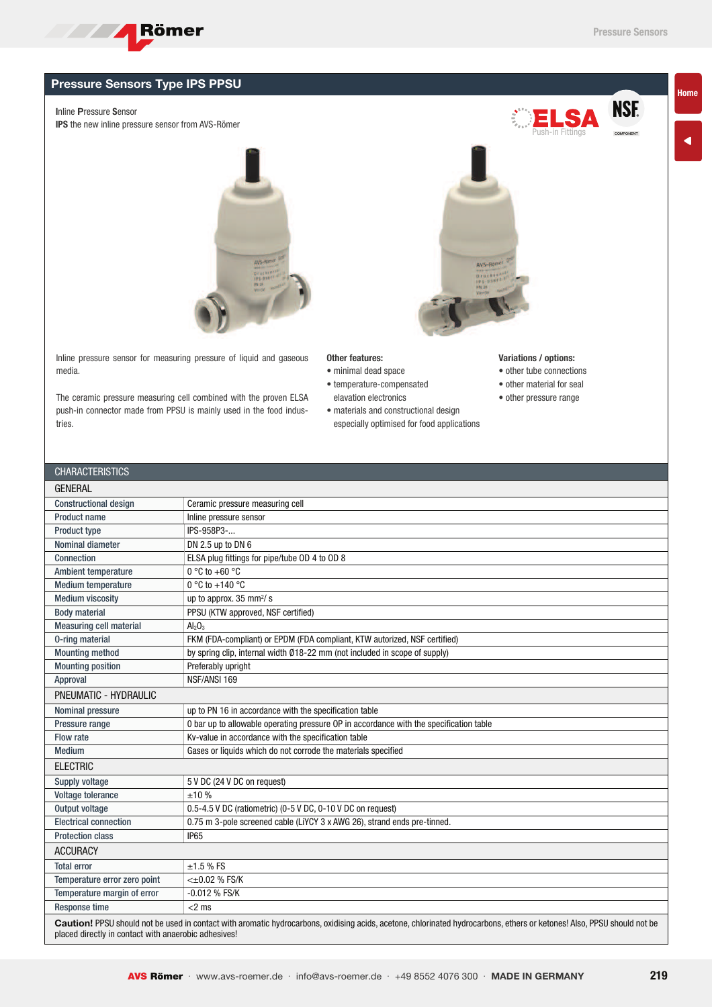**NSF. COMPONENT** 

## Pressure Sensors Type IPS PPSU

**Exercise School** Römer

Inline Pressure Sensor

CHARACTERICTICS

IPS the new inline pressure sensor from AVS-Römer



Inline pressure sensor for measuring pressure of liquid and gaseous media.

The ceramic pressure measuring cell combined with the proven ELSA push-in connector made from PPSU is mainly used in the food industries.

## Other features:

- minimal dead space
- temperature-compensated elavation electronics
- 
- materials and constructional design especially optimised for food applications

## Variations / options:

- other tube connections
- other material for seal
- other pressure range

| UNANAU I ENIJ I IUJ                                                                                                                                                                                                             |                                                                                        |  |  |  |  |  |  |  |
|---------------------------------------------------------------------------------------------------------------------------------------------------------------------------------------------------------------------------------|----------------------------------------------------------------------------------------|--|--|--|--|--|--|--|
| <b>GENERAL</b>                                                                                                                                                                                                                  |                                                                                        |  |  |  |  |  |  |  |
| <b>Constructional design</b>                                                                                                                                                                                                    | Ceramic pressure measuring cell                                                        |  |  |  |  |  |  |  |
| <b>Product name</b>                                                                                                                                                                                                             | Inline pressure sensor                                                                 |  |  |  |  |  |  |  |
| <b>Product type</b>                                                                                                                                                                                                             | IPS-958P3-                                                                             |  |  |  |  |  |  |  |
| Nominal diameter                                                                                                                                                                                                                | DN 2.5 up to DN 6                                                                      |  |  |  |  |  |  |  |
| Connection                                                                                                                                                                                                                      | ELSA plug fittings for pipe/tube OD 4 to OD 8                                          |  |  |  |  |  |  |  |
| Ambient temperature                                                                                                                                                                                                             | $0^{\circ}$ C to +60 $^{\circ}$ C                                                      |  |  |  |  |  |  |  |
| <b>Medium temperature</b>                                                                                                                                                                                                       | 0 °C to +140 °C                                                                        |  |  |  |  |  |  |  |
| <b>Medium viscosity</b>                                                                                                                                                                                                         | up to approx. 35 mm <sup>2</sup> / s                                                   |  |  |  |  |  |  |  |
| <b>Body material</b>                                                                                                                                                                                                            | PPSU (KTW approved, NSF certified)                                                     |  |  |  |  |  |  |  |
| <b>Measuring cell material</b>                                                                                                                                                                                                  | $Al_2O_3$                                                                              |  |  |  |  |  |  |  |
| 0-ring material                                                                                                                                                                                                                 | FKM (FDA-compliant) or EPDM (FDA compliant, KTW autorized, NSF certified)              |  |  |  |  |  |  |  |
| <b>Mounting method</b>                                                                                                                                                                                                          | by spring clip, internal width Ø18-22 mm (not included in scope of supply)             |  |  |  |  |  |  |  |
| <b>Mounting position</b>                                                                                                                                                                                                        | Preferably upright                                                                     |  |  |  |  |  |  |  |
| NSF/ANSI 169<br>Approval                                                                                                                                                                                                        |                                                                                        |  |  |  |  |  |  |  |
| PNEUMATIC - HYDRAULIC                                                                                                                                                                                                           |                                                                                        |  |  |  |  |  |  |  |
| Nominal pressure                                                                                                                                                                                                                | up to PN 16 in accordance with the specification table                                 |  |  |  |  |  |  |  |
| Pressure range                                                                                                                                                                                                                  | 0 bar up to allowable operating pressure OP in accordance with the specification table |  |  |  |  |  |  |  |
| Flow rate                                                                                                                                                                                                                       | Kv-value in accordance with the specification table                                    |  |  |  |  |  |  |  |
| <b>Medium</b>                                                                                                                                                                                                                   | Gases or liquids which do not corrode the materials specified                          |  |  |  |  |  |  |  |
| <b>ELECTRIC</b>                                                                                                                                                                                                                 |                                                                                        |  |  |  |  |  |  |  |
| Supply voltage                                                                                                                                                                                                                  | 5 V DC (24 V DC on request)                                                            |  |  |  |  |  |  |  |
| Voltage tolerance                                                                                                                                                                                                               | ±10%                                                                                   |  |  |  |  |  |  |  |
| Output voltage                                                                                                                                                                                                                  | 0.5-4.5 V DC (ratiometric) (0-5 V DC, 0-10 V DC on request)                            |  |  |  |  |  |  |  |
| <b>Electrical connection</b>                                                                                                                                                                                                    | 0.75 m 3-pole screened cable (LiYCY 3 x AWG 26), strand ends pre-tinned.               |  |  |  |  |  |  |  |
| <b>Protection class</b>                                                                                                                                                                                                         | IP <sub>65</sub>                                                                       |  |  |  |  |  |  |  |
| <b>ACCURACY</b>                                                                                                                                                                                                                 |                                                                                        |  |  |  |  |  |  |  |
| <b>Total error</b>                                                                                                                                                                                                              | $±1.5%$ FS                                                                             |  |  |  |  |  |  |  |
| Temperature error zero point                                                                                                                                                                                                    | $<\pm 0.02$ % FS/K                                                                     |  |  |  |  |  |  |  |
| Temperature margin of error                                                                                                                                                                                                     | -0.012 % FS/K                                                                          |  |  |  |  |  |  |  |
| Response time                                                                                                                                                                                                                   | $<$ 2 ms                                                                               |  |  |  |  |  |  |  |
| Caution! PPSU should not be used in contact with aromatic hydrocarbons, oxidising acids, acetone, chlorinated hydrocarbons, ethers or ketones! Also, PPSU should not be<br>placed directly in contact with anaerobic adhesives! |                                                                                        |  |  |  |  |  |  |  |



Home